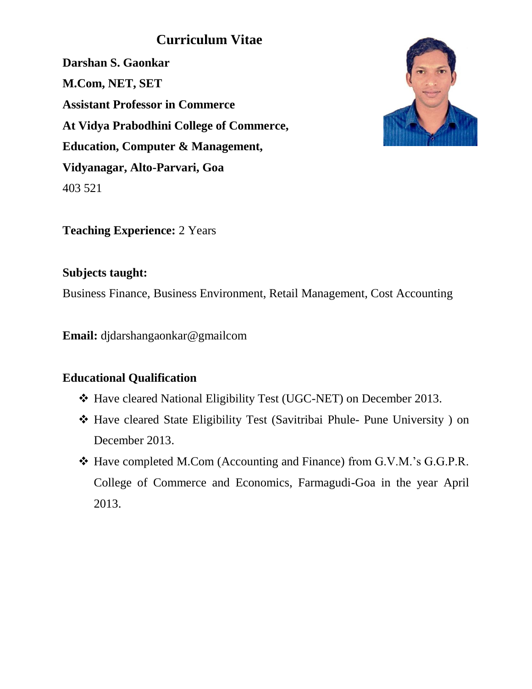# **Curriculum Vitae**

**Darshan S. Gaonkar M.Com, NET, SET Assistant Professor in Commerce At Vidya Prabodhini College of Commerce, Education, Computer & Management, Vidyanagar, Alto-Parvari, Goa** 403 521



**Teaching Experience:** 2 Years

## **Subjects taught:**

Business Finance, Business Environment, Retail Management, Cost Accounting

**Email:** djdarshangaonkar@gmailcom

## **Educational Qualification**

- Have cleared National Eligibility Test (UGC-NET) on December 2013.
- Have cleared State Eligibility Test (Savitribai Phule- Pune University ) on December 2013.
- Have completed M.Com (Accounting and Finance) from G.V.M.'s G.G.P.R. College of Commerce and Economics, Farmagudi-Goa in the year April 2013.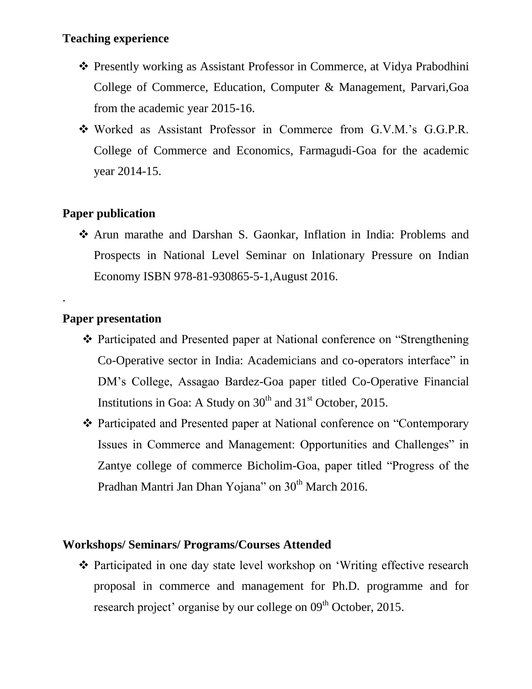#### **Teaching experience**

- Presently working as Assistant Professor in Commerce, at Vidya Prabodhini College of Commerce, Education, Computer & Management, Parvari,Goa from the academic year 2015-16.
- Worked as Assistant Professor in Commerce from G.V.M.'s G.G.P.R. College of Commerce and Economics, Farmagudi-Goa for the academic year 2014-15.

### **Paper publication**

 Arun marathe and Darshan S. Gaonkar, Inflation in India: Problems and Prospects in National Level Seminar on Inlationary Pressure on Indian Economy ISBN 978-81-930865-5-1,August 2016.

## **Paper presentation**

.

- Participated and Presented paper at National conference on "Strengthening Co-Operative sector in India: Academicians and co-operators interface" in DM's College, Assagao Bardez-Goa paper titled Co-Operative Financial Institutions in Goa: A Study on  $30<sup>th</sup>$  and  $31<sup>st</sup>$  October, 2015.
- Participated and Presented paper at National conference on "Contemporary Issues in Commerce and Management: Opportunities and Challenges" in Zantye college of commerce Bicholim-Goa, paper titled "Progress of the Pradhan Mantri Jan Dhan Yojana" on 30<sup>th</sup> March 2016.

#### **Workshops/ Seminars/ Programs/Courses Attended**

 Participated in one day state level workshop on 'Writing effective research proposal in commerce and management for Ph.D. programme and for research project' organise by our college on 09<sup>th</sup> October, 2015.